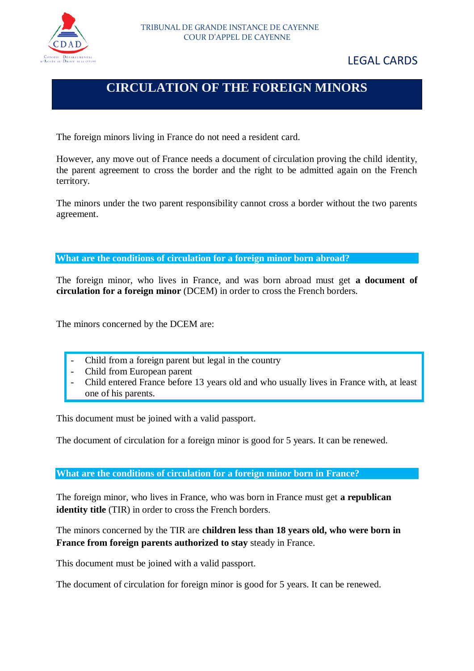

## LEGAL CARDS

# **CIRCULATION OF THE FOREIGN MINORS**

The foreign minors living in France do not need a resident card.

However, any move out of France needs a document of circulation proving the child identity, the parent agreement to cross the border and the right to be admitted again on the French territory.

The minors under the two parent responsibility cannot cross a border without the two parents agreement.

**What are the conditions of circulation for a foreign minor born abroad?**

The foreign minor, who lives in France, and was born abroad must get **a document of circulation for a foreign minor** (DCEM) in order to cross the French borders.

The minors concerned by the DCEM are:

- Child from a foreign parent but legal in the country
- Child from European parent
- Child entered France before 13 years old and who usually lives in France with, at least one of his parents.

This document must be joined with a valid passport.

The document of circulation for a foreign minor is good for 5 years. It can be renewed.

**What are the conditions of circulation for a foreign minor born in France?**

The foreign minor, who lives in France, who was born in France must get **a republican identity title** (TIR) in order to cross the French borders.

The minors concerned by the TIR are **children less than 18 years old, who were born in France from foreign parents authorized to stay** steady in France.

This document must be joined with a valid passport.

The document of circulation for foreign minor is good for 5 years. It can be renewed.